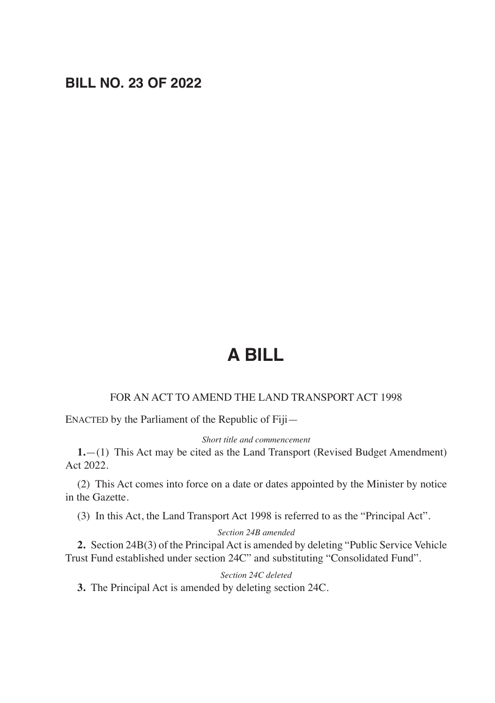# **BILL NO. 23 OF 2022**

# **A BILL**

## FOR AN ACT TO AMEND THE LAND TRANSPORT ACT 1998

ENACTED by the Parliament of the Republic of Fiji—

### *Short title and commencement*

**1.**—(1) This Act may be cited as the Land Transport (Revised Budget Amendment) Act 2022.

(2) This Act comes into force on a date or dates appointed by the Minister by notice in the Gazette.

(3) In this Act, the Land Transport Act 1998 is referred to as the "Principal Act".

#### *Section 24B amended*

**2.** Section 24B(3) of the Principal Act is amended by deleting "Public Service Vehicle Trust Fund established under section 24C" and substituting "Consolidated Fund".

### *Section 24C deleted*

**3.** The Principal Act is amended by deleting section 24C.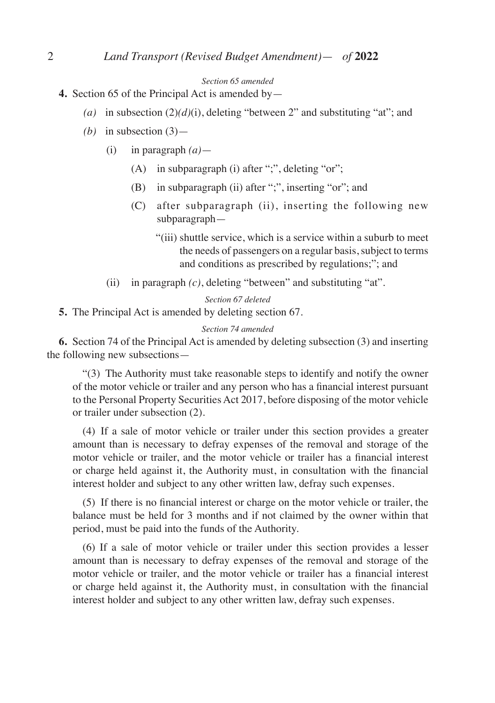#### *Section 65 amended*

- **4.** Section 65 of the Principal Act is amended by—
	- *(a)* in subsection (2)*(d)*(i), deleting "between 2" and substituting "at"; and
	- *(b)* in subsection  $(3)$ 
		- (i) in paragraph *(a)*
			- (A) in subparagraph (i) after ";", deleting "or";
			- (B) in subparagraph (ii) after ";", inserting "or"; and
			- (C) after subparagraph (ii), inserting the following new subparagraph—
				- "(iii) shuttle service, which is a service within a suburb to meet the needs of passengers on a regular basis, subject to terms and conditions as prescribed by regulations;"; and
		- (ii) in paragraph *(c)*, deleting "between" and substituting "at".

### *Section 67 deleted*

**5.** The Principal Act is amended by deleting section 67.

#### *Section 74 amended*

**6.** Section 74 of the Principal Act is amended by deleting subsection (3) and inserting the following new subsections—

 "(3) The Authority must take reasonable steps to identify and notify the owner of the motor vehicle or trailer and any person who has a financial interest pursuant to the Personal Property Securities Act 2017, before disposing of the motor vehicle or trailer under subsection (2).

 (4) If a sale of motor vehicle or trailer under this section provides a greater amount than is necessary to defray expenses of the removal and storage of the motor vehicle or trailer, and the motor vehicle or trailer has a financial interest or charge held against it, the Authority must, in consultation with the financial interest holder and subject to any other written law, defray such expenses.

(5) If there is no financial interest or charge on the motor vehicle or trailer, the balance must be held for 3 months and if not claimed by the owner within that period, must be paid into the funds of the Authority.

 (6) If a sale of motor vehicle or trailer under this section provides a lesser amount than is necessary to defray expenses of the removal and storage of the motor vehicle or trailer, and the motor vehicle or trailer has a financial interest or charge held against it, the Authority must, in consultation with the financial interest holder and subject to any other written law, defray such expenses.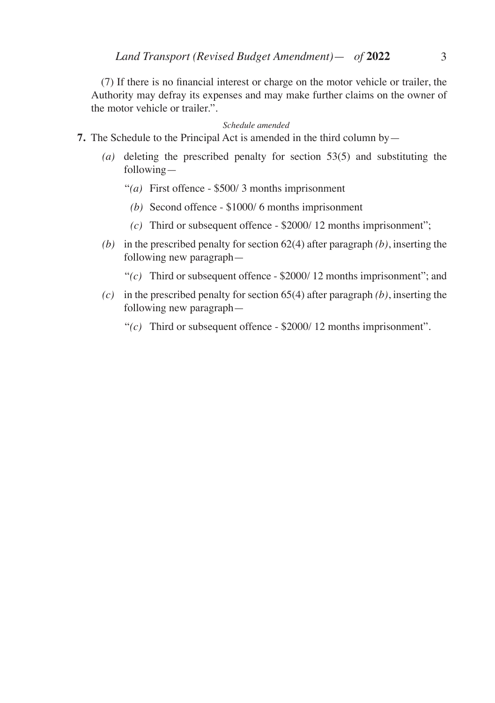(7) If there is no financial interest or charge on the motor vehicle or trailer, the Authority may defray its expenses and may make further claims on the owner of the motor vehicle or trailer.".

#### *Schedule amended*

- **7.** The Schedule to the Principal Act is amended in the third column by—
	- *(a)* deleting the prescribed penalty for section 53(5) and substituting the following—
		- "*(a)* First offence \$500/ 3 months imprisonment
			- *(b)* Second offence \$1000/ 6 months imprisonment
		- *(c)* Third or subsequent offence \$2000/ 12 months imprisonment";
	- *(b)* in the prescribed penalty for section 62(4) after paragraph *(b)*, inserting the following new paragraph—
		- "*(c)* Third or subsequent offence \$2000/ 12 months imprisonment"; and
	- *(c)* in the prescribed penalty for section 65(4) after paragraph *(b)*, inserting the following new paragraph—
		- "*(c)* Third or subsequent offence \$2000/ 12 months imprisonment".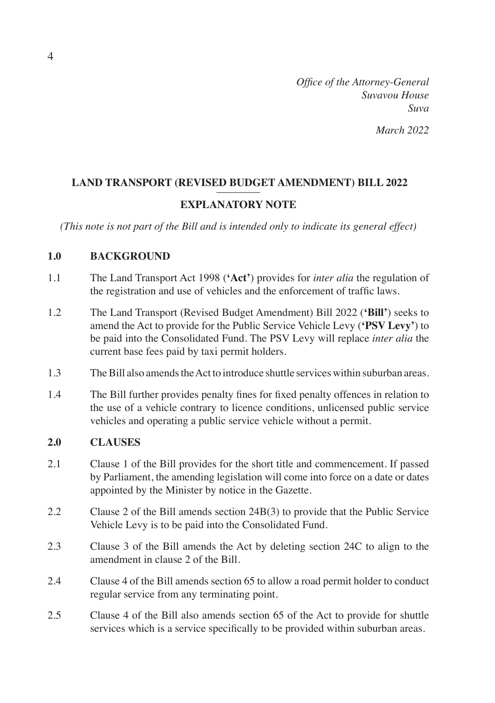*Office of the Attorney-General Suvavou House Suva March 2022*

# LAND TRANSPORT (REVISED BUDGET AMENDMENT) BILL 2022 **EXPLANATORY NOTE**

*(This note is not part of the Bill and is intended only to indicate its general effect)*

## **1.0 BACKGROUND**

- 1.1 The Land Transport Act 1998 (**'Act'**) provides for *inter alia* the regulation of the registration and use of vehicles and the enforcement of traffic laws.
- 1.2 The Land Transport (Revised Budget Amendment) Bill 2022 (**'Bill'**) seeks to amend the Act to provide for the Public Service Vehicle Levy (**'PSV Levy'**) to be paid into the Consolidated Fund. The PSV Levy will replace *inter alia* the current base fees paid by taxi permit holders.
- 1.3 The Bill also amends the Act to introduce shuttle services within suburban areas.
- 1.4 The Bill further provides penalty fines for fixed penalty offences in relation to the use of a vehicle contrary to licence conditions, unlicensed public service vehicles and operating a public service vehicle without a permit.

## **2.0 CLAUSES**

- 2.1 Clause 1 of the Bill provides for the short title and commencement. If passed by Parliament, the amending legislation will come into force on a date or dates appointed by the Minister by notice in the Gazette.
- 2.2 Clause 2 of the Bill amends section 24B(3) to provide that the Public Service Vehicle Levy is to be paid into the Consolidated Fund.
- 2.3 Clause 3 of the Bill amends the Act by deleting section 24C to align to the amendment in clause 2 of the Bill.
- 2.4 Clause 4 of the Bill amends section 65 to allow a road permit holder to conduct regular service from any terminating point.
- 2.5 Clause 4 of the Bill also amends section 65 of the Act to provide for shuttle services which is a service specifically to be provided within suburban areas.